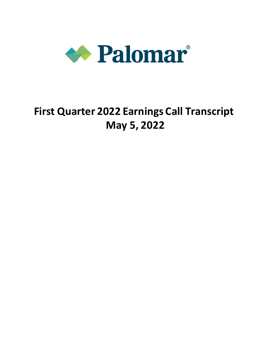

# **First Quarter 2022 Earnings Call Transcript May 5, 2022**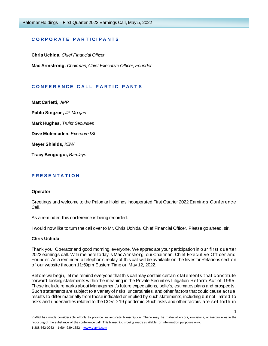# **C O R P O R A T E P A R T I C I P A N T S**

**Chris Uchida,** *Chief Financial Officer* **Mac Armstrong,** *Chairman, Chief Executive Officer, Founder*

# **C O N F E R E N C E C A L L P A R T I C I P A N T S**

**Matt Carletti,** *JMP*

**Pablo Singzon,** *JP Morgan*

**Mark Hughes,** *Truist Securities*

**Dave Motemaden,** *Evercore ISI*

**Meyer Shields,** *KBW*

**Tracy Benguigui,** *Barclays*

# **P R E S E N T A T I O N**

#### **Operator**

Greetings and welcome to the Palomar Holdings Incorporated First Quarter 2022 Earnings Conference Call.

As a reminder, this conference is being recorded.

I would now like to turn the call over to Mr. Chris Uchida, Chief Financial Officer. Please go ahead, sir.

#### **Chris Uchida**

Thank you, Operator and good morning, everyone. We appreciate your participation in our first quarter 2022 earnings call. With me here today is Mac Armstrong, our Chairman, Chief Executive Officer and Founder. As a reminder, a telephonic replay of this call will be available on the Investor Relations section of our website through 11:59pm Eastern Time on May 12, 2022.

Before we begin, let me remind everyone that this call may contain certain statements that constitute forward-looking statements within the meaning in the Private Securities Litigation Reform Act of 1995. These include remarks about Management's future expectations, beliefs, estimates plans and prospects. Such statements are subject to a variety of risks, uncertainties, and other factors that could cause actual results to differ materially from those indicated or implied by such statements, including but not limited to risks and uncertainties related to the COVID 19 pandemic. Such risks and other factors are set forth in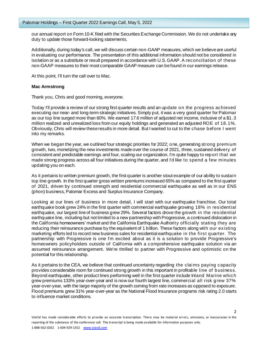our annual report on Form 10-K filed with the Securities Exchange Commission. We do not undertake any duty to update those forward-looking statements.

Additionally, during today's call, we will discuss certain non-GAAP measures, which we believe are useful in evaluating our performance. The presentation of this additional information should not be considered in isolation or as a substitute or result prepared in accordance with U.S. GAAP. A reconciliation of these non-GAAP measures to their most comparable GAAP measure can be found in our earnings release.

At this point, I'll turn the call over to Mac.

#### **Mac Armstrong**

Thank you, Chris and good morning, everyone.

Today I'll provide a review of our strong first quarter results and an update on the progress achieved executing our near- and long-term strategic initiatives. Simply put, it was a very good quarter for Palomar as our top line surged more than 60%. We earned 17.6 million of adjusted net income, inclusive of a \$1.3 million realized and unrealized loss from our equity holdings and generated an adjusted ROE of 18.1%. Obviously, Chris will review these results in more detail. But I wanted to cut to the chase before I went into my remarks.

When we began the year, we outlined four strategic priorities for 2022; one, generating strong premium growth, two, monetizing the new investments made over the course of 2021, three, sustained delivery of consistent and predictable earnings and four, scaling our organization. I'm quite happy to report that we made strong progress across all four initiatives during the quarter, and I'd like to spend a few minutes updating you on each.

As it pertains to written premium growth, the first quarter is another stout example of our ability to sustain top line growth. In the first quarter gross written premiums increased 65% as compared to the first quarter of 2021, driven by continued strength and residential commercial earthquake as well as in our ENS (phon) business, Palomar Excess and Surplus Insurance Company.

Looking at our lines of business in more detail, I will start with our earthquake franchise. Our total earthquake book grew 24% in the first quarter with commercial earthquake growing 18% in residential earthquake, our largest line of business grew 29%. Several factors drove the growth in the residential earthquake line, including but not limited to a new partnership with Progressive, a continued dislocation in the California homeowners' market and the California Earthquake Authority officially stating they are reducing their reinsurance purchase by the equivalent of 1 billion. These factors along with our existing marketing efforts led to record new business sales for residential earthquake in the first quarter. The partnership with Progressive is one I'm excited about as it is a solution to provide Progressive's homeowners policyholders outside of California with a comprehensive earthquake solution via an assumed reinsurance arrangement. We're thrilled to partner with Progressive and optimistic on the potential for this relationship.

As it pertains to the CEA, we believe that continued uncertainty regarding the clai ms paying capacity provides considerable room for continued strong growth in this important in profitable line of business. Beyond earthquake, other product lines performing well in the first quarter include Inland Marine which grew premiums 133% year-over-year and is now our fourth largest line, commercial all risk grew 37% year-over-year, with the large majority of the growth coming from rate increases as opposed to exposure. Flood premiums grew 31% year-over-year as the National Flood Insurance programs risk rating 2.0 starts to influence market conditions.

 $\mathfrak{D}$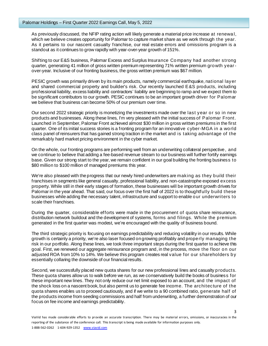As previously discussed, the NFIP rating action will likely generate a material price increase at renewa l, which we believe creates opportunity for Palomar to capture market share as we work through the year. As it pertains to our nascent casualty franchise, our real estate errors and omissions program is a standout as it continues to grow rapidly with year-over-year growth of 151%.

Shifting to our E&S business, Palomar Excess and Surplus Insurance Company had another strong quarter, generating 41 million of gross written premium representing 71% written premium growth yearover-year. Inclusive of our fronting business, the gross written premium was \$67 million.

PESIC growth was primarily driven by its main products, namely commercial earthquake, national layer and shared commercial property and builder's risk. Our recently launched E&S products, including professional liability, excess liability and contractors' liability are beginning to ramp and we expect them to be significant contributors to our growth. PESIC continues to be an important growth driver for Palomar we believe that business can become 50% of our premium over time.

Our second 2022 strategic priority is monetizing the investments made over the last year or so in new products and businesses. Along these lines, I'm very pleased with the initial success of Palomar Front. Launched in September, Palomar Front achieved almost \$30 million in gross written premiums in the first quarter. One of its initial success stories is a fronting program for an innovative cyber-MGA in a world class panel of reinsurers that has gained strong traction in the market and is taking advantage of the remarkably hard market pricing environment in the cyber market.

On the whole, our fronting programs are performing well from an underwriting collateral perspective, and we continue to believe that adding a fee-based revenue stream to our business will further fortify earnings base. Given our strong start to the year, we remain confident in our goal building the fronting business to \$80 million to \$100 million of managed premiums this year.

We're also pleased with the progress that our newly hired underwriters are making as they build their franchises in segments like general casualty, professional liability, and non-catastrophe exposed excess property. While still in their early stages of formation, these businesses will be important growth drivers for Palomar in the year ahead. That said, our focus over the first half of 2022 is to thoughtfully build these businesses while adding the necessary talent, infrastructure and support to enable our underwriters to scale their franchises.

During the quarter, considerable efforts were made in the procurement of quota share reinsurance, distribution network buildout and the development of systems, forms and filings. While the premium generated in the first quarter was modest, we're encouraged with the quality of business bound.

The third strategic priority is focusing on earnings predictability and reducing volatility in our results. While growth is certainly a priority, we're also laser focused on growing profitably and properly managing the risk in our portfolio. Along these lines, we took three important steps during the first quarter to achieve this goal. First, we renewed our aggregate reinsurance program and, in the process, move the floor on our adjusted ROA from 10% to 14%. We believe this program creates real value for our shareholders by essentially collaring the downside of our financial results.

Second, we successfully placed new quota shares for our new professional lines and casualty products. These quota shares allow us to walk before we run, as we conservatively build the books of business for these important new lines. They not only reduce our net limit exposed to an account, and the impact of the shock loss on a nascent book, but also permit us to generate fee income. The architecture of the quota shares enables us to proceed cautiously, and if we write to a 90 combined ratio, generate half of the products income from seeding commissions and half from underwriting, a further demonstration of our focus on fee income and earnings predictability.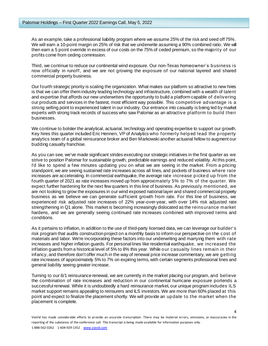As an example, take a professional liability program where we assume 25% of the risk and seed off 75%. We will earn a 10-point margin on 25% of risk that we underwrite assuming a 90% combined ratio. We will then earn a 5 point override in excess of our costs on the 75% of ceded premium, so the majority of our profits come from ceding commission.

Third, we continue to reduce our continental wind exposure. Our non-Texas homeowner's business is now officially in runoff, and we are not growing the exposure of our national layered and shared commercial property business.

Our fourth strategic priority is scaling the organization. What makes our platform so attractive to new hires is that we can offer them industry leading technology and infrastructure, combined with a wealth of talent and expertise that affords our new underwriters the opportunity to build a platform capable of delivering our products and services in the fastest, most efficient way possible. This competitive advantage is a strong selling point to experienced talent in our industry. Our entrance into casualty is being led by market experts with strong track records of success who saw Palomar as an attractive platform to build their businesses.

We continue to bolster the analytical, actuarial, technology and operating expertise to support our growth. Key hires this quarter included Eric Hennen, VP of Analytics who formerly helped lead the property analytics team of a global reinsurance broker and Ben Markowski another actuarial fellow to augment our budding casualty franchise.

As you can see, we've made significant strides executing our strategic initiatives in the first quarter as we strive to position Palomar for sustainable growth, predictable earnings and reduced volatility. At this point, I'd like to spend a few minutes updating you on what we are seeing in the market. From a pricing standpoint, we are seeing sustained rate increases across all lines, and pockets of business where rate increases are accelerating. In commercial earthquake, the average rate increase picked up from the fourth quarter of 2021 as rate increases moved up from approximately 5% to 7% of the quarter. We expect further hardening for the next few quarters in this line of business. As previously mentioned, we are not looking to grow the exposures in our wind exposed national layer and shared commercial property business as we believe we can generate sufficient growth from rate. For this line of business, we experienced risk adjusted rate increases of 22% year-over-year, with over 14% risk adjusted rate strengthening in Q1 alone. This market is becoming increasingly dislocated as the reinsurance market hardens, and we are generally seeing continued rate increases combined with improved terms and conditions.

As it pertains to inflation, in addition to the use of third-party licensed data, we can leverage our builder's risk program that audits construction project on a monthly basis to inform our perspective on the cost of materials and labor. We're incorporating these factors into our underwriting and marrying them with rate increases and higher inflation guards. For personal lines like residential earthquake, we increased the inflation guards from a historical level of 5% to 8% this year. While our casualty lines remain in their infancy, and therefore don't offer much in the way of renewal price increase commentary, we are getting rate increases of approximately 5% to 7% on expiring terms, with certain segments professional lines and general liability seeing greater increase.

Turning to our 6/1 reinsurance renewal, we are currently in the market placing our program, and believe the combination of rate increases and reduction in our continental hurricane exposure portends a successful renewal. While it is undoubtedly a hard reinsurance market, our unique program includes ILS market support remains appealing to reinsurers and ILS investors. We are more than 60% placed at this point and expect to finalize the placement shortly. We will provide an update to the market when the placement is complete.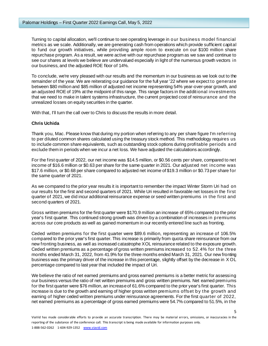Turning to capital allocation, we'll continue to see operating leverage in our business model financial metrics as we scale. Additionally, we are generating cash from operations which provide sufficient capital to fund our growth initiatives, while providing ample room to execute on our \$100 million share repurchase program. As a result, we were active with our repurchase program as we saw and continue to see our shares at levels we believe are undervalued especially in light of the numerous growth vectors in our business, and the adjusted ROE floor of 14%.

To conclude, we're very pleased with our results and the momentum in our business as we look out to the remainder of the year. We are reiterating our guidance for the full year '22 where we expect to generate between \$80 million and \$85 million of adjusted net income representing 54% year-over-year growth, and an adjusted ROE of 19% at the midpoint of this range. This range factors in the additional investments that we need to make in talent systems infrastructure, the current projected cost of reinsurance and the unrealized losses on equity securities in the quarter.

With that, I'll turn the call over to Chris to discuss the results in more detail.

## **Chris Uchida**

Thank you, Mac. Please know that during my portion when referring to any per share figure I'm referring to per diluted common shares calculated using the treasury stock method. This methodology requires us to include common share equivalents, such as outstanding stock options during profitable periods and exclude them in periods when we incur a net loss. We have adjusted the calculations accordingly.

For the first quarter of 2022, our net income was \$14.5 million, or \$0.56 cents per share, compared to net income of \$16.6 million or \$0.63 per share for the same quarter in 2021. Our adjusted net income was \$17.6 million, or \$0.68 per share compared to adjusted net income of \$19.3 million or \$0.73 per share for the same quarter of 2021.

As we compared to the prior year results it is important to remember the impact Winter Storm Uri had on our results for the first and second quarters of 2021. While Uri resulted in favorable net losses in the first quarter of 2021, we did incur additional reinsurance expense or seed written premiums in the first and second quarters of 2021.

Gross written premiums for the first quarter were \$170.9 million an increase of 65% compared to the prior year's first quarter. This continued strong growth was driven by a combination of increases in premiums across our core products as well as gained momentum in our recently entered line such as fronting.

Ceded written premiums for the first quarter were \$89.6 million, representing an increase of 106.5% compared to the prior year's first quarter. This increase is primarily from quota share reinsurance from our new fronting business, as well as increased catastrophe XOL reinsurance related to the exposure growth. Ceded written premiums as a percentage of gross written premiums increased to 52.4% for the three months ended March 31, 2022, from 41.9% for the three months ended March 31, 2021. Our new fronting business was the primary driver of the increase in this percentage, slightly offset by the decrease in X OL percentage compared to last year that included the impact of Uri.

We believe the ratio of net earned premiums and gross earned premiums is a better metric for assessing our business versus the ratio of net written premiums and gross written premiums. Net earned premiums for the first quarter were \$76 million, an increase of 61.6% compared to the prior year's first quarter. This increase is due to the growth and earning of higher gross written premiums offset by the growth and earning of higher ceded written premiums under reinsurance agreements. For the first quarter of 2022, net earned premiums as a percentage of gross earned premiums were 54.7% compared to 51.5%, in the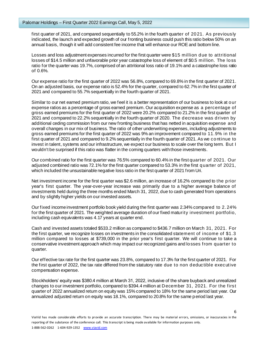first quarter of 2021, and compared sequentially to 55.2% in the fourth quarter of 2021. As previously indicated, the launch and expected growth of our fronting business could push this ratio below 50% on an annual basis, though it will add consistent fee income that will enhance our ROE and bottom line.

Losses and loss adjustment expenses incurred for the first quarter were \$15 million due to attritional losses of \$14.5 million and unfavorable prior year catastrophe loss of element of \$0.5 million. The loss ratio for the quarter was 19.7%, comprised of an attritional loss ratio of 19.1% and a catastrophe loss ratio of 0.6%.

Our expense ratio for the first quarter of 2022 was 56.8%, compared to 69.8% in the first quarter of 2021. On an adjusted basis, our expense ratio is 52.4% for the quarter, compared to 62.7% in the first quarter of 2021 and compared to 55.7% sequentially in the fourth quarter of 2021.

Similar to our net earned premium ratio, we feel it is a better representation of our business to look at our expense ratios as a percentage of gross earned premium. Our acquisition expense as a percentage of gross earned premiums for the first quarter of 2022 were 20.2% compared to 21.2% in the first quarter of 2021 and compared to 22.2% sequentially in the fourth quarter of 2020. The decrease was driven by additional ceding commission from our new fronting business that has netted in acquisition expense and overall changes in our mix of business. The ratio of other underwriting expenses, including adjustments to gross earned premiums for the first quarter of 2022 was 9% an improvement compared to 11.9% in the first quarter of 2021 and compared to 9.2% sequentially in the fourth quarter of 2021. As we continue to invest in talent, systems and our infrastructure, we expect our business to scale over the long term. But I wouldn't be surprised if this ratio was flatter in the coming quarters with those investments.

Our combined ratio for the first quarter was 76.5% compared to 60.4% in the first quarter of 2021. Our adjusted combined ratio was 72.1% for the first quarter compared to 53.3% in the first quarter of 2021, which included the unsustainable negative loss ratio in the first quarter of 2021 from Uri.

Net investment income for the first quarter was \$2.6 million, an increase of 16.2% compared to the prior year's first quarter. The year-over-year increase was primarily due to a higher average balance of investments held during the three months ended March 31, 2022, due to cash generated from operations and by slightly higher yields on our invested assets.

Our fixed income investment portfolio book yield during the first quarter was 2.34% compared to 2. 24% for the first quarter of 2021. The weighted average duration of our fixed maturity investment portfolio, including cash equivalents was 4.17 years at quarter end.

Cash and invested assets totaled \$533.2 million as compared to \$436.7 million on March 31, 2021. For the first quarter, we recognize losses on investments in the consolidated statement of income of \$1.3 million compared to losses at \$739,000 in the prior year's first quarter. We will continue to take a conservative investment approach which may impact our recognized gains and losses from quarter to quarter.

Our effective tax rate for the first quarter was 23.8%, compared to 17.3% for the first quarter of 2021. For the first quarter of 2022, the tax rate differed from the statutory rate due to non deductible executive compensation expense.

Stockholders' equity was \$380.4 million at March 31, 2022, inclusive of the share buyback and unrealized changes to our investment portfolio, compared to \$394.4 million at December 31, 2021. For the first quarter of 2022 annualized return on equity was 15% compared to 18% for the same period last year. Our annualized adjusted return on equity was 18.1%, compared to 20.8% for the same period last year.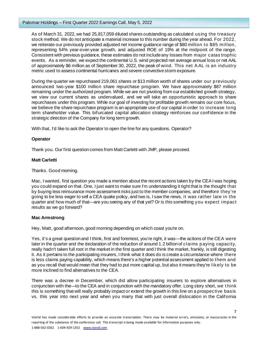#### Palomar Holdings – First Quarter 2022 Earnings Call, May 5, 2022

As of March 31, 2022, we had 25,817,059 diluted shares outstanding as calculated using the treasury stock method. We do not anticipate a material increase to this number during the year ahead. For 2022, we reiterate our previously provided adjusted net income guidance range of \$80 million to \$85 million, representing 54% year-over-year growth, and adjusted ROE of 19% at the midpoint of the range. Consistent with previous guidance, these estimates do not include any losses from major catas trophic events. As a reminder, we expect the continental U.S. wind projected net average annual loss or net AAL of approximately \$6 million as of September 30, 2022, the peak of wind. This net A AL is an industry metric used to assess continental hurricanes and severe convective storm exposure.

During the quarter we repurchased 219,061 shares or \$13 million worth of shares under our previously announced two-year \$100 million share repurchase program. We have approximately \$87 million remaining under the authorized program. While we are not pivoting from our established growth strategy, we view our current shares as undervalued, and we will take an opportunistic approach to share repurchases under this program. While our goal of investing for profitable growth remains our core focus, we believe the share repurchase program is an appropriate use of our capital in order to increase long term shareholder value. This bifurcated capital allocation strategy reinforces our confidence in the strategic direction of the Company for long term growth.

With that, I'd like to ask the Operator to open the line for any questions. Operator?

# **Operator**

Thank you. Our first question comes from Matt Carletti with JMP, please proceed.

# **Matt Carletti**

Thanks. Good morning.

Mac, I wanted, first question you made a mention about the recent actions taken by the CEA I was hoping you could expand on that. One, I just want to make sure I'm understanding it right that is the thought that by buying less reinsurance more assessment risks just to the member companies, and therefore they're going to be less eager to sell a CEA quake policy, and two is, I saw the news, it was rather late in the quarter and how much of that—are you seeing any of that yet? Or is this something you expect impact results as we go forward?

# **Mac Armstrong**

Hey, Matt, good afternoon, good morning depending on which coast you're on.

Yes, it's a great question and I think, first and foremost, you're right, it was—the actions of the CEA were later in the quarter and the declaration of the reduction of around 1.2 billion of claims paying capacity, really hadn't taken full root in the market in the first quarter and I think the market, frankly, is still digesting it. As it pertains to the participating insurers, I think what it does do is create a circumstance where there is less claims paying capability, which means there's a higher potential assessment applied to them and as you recall that would mean that they had to put more capital up, but also it means they're likely to be more inclined to find alternatives to the CEA.

There was a decree in December, which did allow participating insurers to explore alternatives in conjunction with the—to the CEA and in conjunction with the mandatory offer. Long story short, we t hink this is something that will really probably impact or extend the growth in this line on a prospective basis vs. this year into next year and when you marry that with just overall dislocation in the California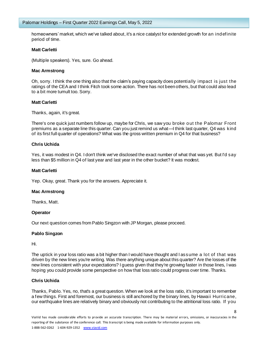homeowners' market, which we've talked about, it's a nice catalyst for extended growth for an indefinite period of time.

## **Matt Carletti**

(Multiple speakers). Yes, sure. Go ahead.

## **Mac Armstrong**

Oh, sorry. I think the one thing also that the claim's paying capacity does potentially impact is just the ratings of the CEA and I think Fitch took some action. There has not been others, but that could also lead to a bit more tumult too. Sorry.

## **Matt Carletti**

Thanks, again, it's great.

There's one quick just numbers follow up, maybe for Chris, we saw you broke out the Palomar Front premiums as a separate line this quarter. Can you just remind us what—I think last quarter, Q4 was kind of its first full quarter of operations? What was the gross written premium in Q4 for that business?

## **Chris Uchida**

Yes, it was modest in Q4. I don't think we've disclosed the exact number of what that was yet. But I'd say less than \$5 million in Q4 of last year and last year in the other bucket? It was modest.

## **Matt Carletti**

Yep. Okay, great. Thank you for the answers. Appreciate it.

#### **Mac Armstrong**

Thanks, Matt.

# **Operator**

Our next question comes from Pablo Singzon with JP Morgan, please proceed.

# **Pablo Singzon**

Hi.

The uptick in your loss ratio was a bit higher than I would have thought and I assume a lot of that was driven by the new lines you're writing. Was there anything unique about this quarter? Are the losses of the new lines consistent with your expectations? I guess given that they're growing faster in those lines, I was hoping you could provide some perspective on how that loss ratio could progress over time. Thanks.

# **Chris Uchida**

Thanks, Pablo. Yes, no, that's a great question. When we look at the loss ratio, it's important to remember a few things. First and foremost, our business is still anchored by the binary lines, by Hawaii Hurricane, our earthquake lines are relatively binary and obviously not contributing to the attritional loss ratio. If you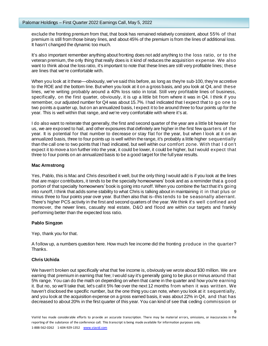exclude the fronting premium from that, that book has remained relatively consistent, about 55% of that premium is still from those binary lines, and about 45% of the premium is from the lines of additional loss. It hasn't changed the dynamic too much.

It's also important remember anything about fronting does not add anything to the loss ratio, or to the veteran premium, the only thing that really does is it kind of reduces the acquisition expense. We also want to think about the loss ratio, it's important to note that these lines are still very profitable lines; these are lines that we're comfortable with.

When you look at it these—obviously, we've said this before, as long as they're sub-100, they're accretive to the ROE and the bottom line. But when you look at it on a gross basis, and you look at Q4, and these lines, we're writing probably around a 40% loss ratio in total. Still very profitable lines of business, specifically, on the first quarter, obviously, it is up a little bit from where it was in Q4. I think if you remember, our adjusted number for Q4 was about 15.7%. I had indicated that I expect that to go one to two points a quarter up, but on an annualized basis, I expect it to be around three to four points up for the year. This is well within that range, and we're very comfortable with where it's at.

I do also want to reiterate that generally, the first and second quarter of the year are a little bit heavier for us, we are exposed to hail, and other exposures that definitely are higher in the first few quarters of the year. It is potential for that number to decrease or stay flat for the year, but when I look at it on an annualized basis, three to four points up is well within the range, it's probably a little higher sequentially than the call one to two points that I had indicated, but well within our comfort zone. With that I d on't expect it to move a ton further into the year, it could be lower, it could be higher, but I would expect that three to four points on an annualized basis to be a good target for the full year results.

#### **Mac Armstrong**

Yes, Pablo, this is Mac and Chris described it well, but the only thing I would add is if you look at the lines that are major contributors, it tends to be the specialty homeowners' book and as a reminder that a good portion of that specialty homeowners' book is going into runoff. When you combine the fact that it's going into runoff, I think that adds some stability to what Chris is talking about in maintaining it in that plus or minus three to four points year over year. But then also that is--this tends to be seasonally aberrant. There's higher PCS activity in the first and second quarters of the year. We think it's well confined and moreover, the newer lines, casualty real estate, D&O and flood are within our targets and frankly performing better than the expected loss ratio.

#### **Pablo Singzon**

Yep, thank you for that.

A follow up, a numbers question here. How much fee income did the fronting produce in the quarter? Thanks.

# **Chris Uchida**

We haven't broken out specifically what that fee income is, obviously we wrote about \$30 million. We are earning that premium in earning that fee; I would say it's generally going to be plus or minus around that 5% range. You can do the math on depending on when that came in the quarter and how you're earning it. But no, so we'll take that, let's call it 5% fee over the next 12 months from when it was written. We haven't disclosed the specific number, but the one thing you can note, when you look at it sequentially, and you look at the acquisition expense on a gross earned basis, it was about 22% in Q4, and that has decreased to about 20% in the first quarter of this year. You can kind of see that ceding commission or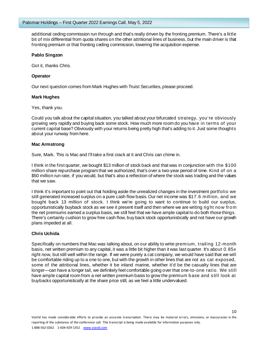additional ceding commission run through and that's really driven by the fronting premium. There's a little bit of mix differential from quota shares on the other attritional lines of business, but the main driver is that fronting premium or that fronting ceding commission, lowering the acquisition expense.

#### **Pablo Singzon**

Got it, thanks Chris.

## **Operator**

Our next question comes from Mark Hughes with Truist Securities, please proceed.

## **Mark Hughes**

Yes, thank you.

Could you talk about the capital situation, you talked about your bifurcated strategy, you're obviously growing very rapidly and buying back some stock. How much more room do you have in terms of your current capital base? Obviously with your returns being pretty high that's adding to it. Just some thoughts about your runway from here.

## **Mac Armstrong**

Sure, Mark. This is Mac and I'll take a first crack at it and Chris can chime in.

I think in the first quarter, we bought \$13 million of stock back and that was in conjunction with the \$100 million share repurchase program that we authorized, that's over a two-year period of time. Kind of on a \$50 million run rate, if you would, but that's also a reflection of where the stock was trading and the values that we saw.

I think it's important to point out that holding aside the unrealized changes in the investment portfolio we still generated increased surplus on a pure cash flow basis. Our net income was \$17.6 million, and we bought back 13 million of stock. I think we're going to want to continue to build our surplus, opportunistically buyback stock as we see it present itself and then where we are writing right now from the net premiums earned a surplus basis, we still feel that we have ample capital to do both those things. There's certainly cushion to grow free cash flow, buy back stock opportunistically and not have our growth plans impeded at all.

# **Chris Uchida**

Specifically on numbers that Mac was talking about, on our ability to write premium, trailing 12-month basis, net written premium to any capital, it was a little bit higher than it was last quarter. It's about 0.85x right now, but still well within the range. If we were purely a cat company, we would have said that we will be comfortable riding up to a one to one, but with the growth in other lines that are not as cat exposed, some of the attritional lines, whether it be inland marine, whether it'd be the casualty lines that are longer—can have a longer tail, we definitely feel comfortable going over that one-to-one ratio. We still have ample capital room from a net written premium basis to grow the premium base and still look at buybacks opportunistically at the share price still, as we feel a little undervalued.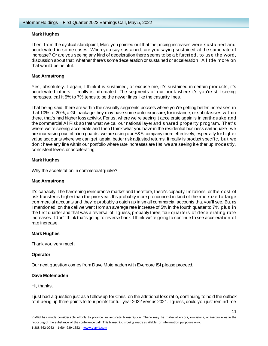# **Mark Hughes**

Then, from the cyclical standpoint, Mac, you pointed out that the pricing increases were sustained and accelerated in some cases. When you say sustained, are you saying sustained at the same rate of increase? Or are you seeing any kind of deceleration there seems to be a bifurcated, to use the word, discussion about that, whether there's some deceleration or sustained or acceleration. A little more on that would be helpful.

# **Mac Armstrong**

Yes, absolutely. I again, I think it is sustained, or excuse me, it's sustained in certain products, it's accelerated others, it really is bifurcated. The segments of our book where it's you're still seeing increases, call it 5% to 7% tends to be the newer lines like the casualty lines.

That being said, there are within the casualty segments pockets where you're getting better increases in that 10% to 20%, a GL package they may have some auto exposure, for instance, or subclasses within there, that's had higher loss activity. For us, where we're seeing it accelerate again is in earthquake and the commercial All Risk so that what we call our national layer and shared property program. That's where we're seeing accelerate and then I think what you have in the residential business earthquake, we are increasing our inflation guards; we are using our E&S company more effectively, especially for higher value accounts where we can get, again, better risk adjusted returns. It really is product specific, bu t we don't have any line within our portfolio where rate increases are flat; we are seeing it either up modestly, consistent levels or accelerating.

# **Mark Hughes**

Why the acceleration in commercial quake?

# **Mac Armstrong**

It's capacity. The hardening reinsurance market and therefore, there's capacity limitations, or the cost of risk transfer is higher than the prior year. It's probably more pronounced in kind of the mid size to large commercial accounts and they're probably a catch up in small commercial accounts that you'll see. But as I mentioned, on the call we went from an average rate increase of 5% in the fourth quarter to 7% plus in the first quarter and that was a reversal of, I guess, probably three, four quarters of decelerating rate increases. I don't think that's going to reverse back. I think we're going to continue to see acceleration of rate increase.

# **Mark Hughes**

Thank you very much.

# **Operator**

Our next question comes from Dave Motemaden with Evercore ISI please proceed.

#### **Dave Motemaden**

Hi, thanks.

I just had a question just as a follow up for Chris, on the attritional loss ratio, continuing to hold the outlook of it being up three points to four points for full year 2022 versus 2021. I guess, could you just remind me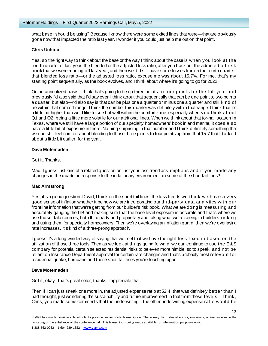what base I should be using? Because I know there were some exited lines that were—that are obviously gone now that impacted the ratio last year. I wonder if you could just help me out on that point.

# **Chris Uchida**

Yes, so the right way to think about the base or the way I think about the base is when you look at the fourth quarter of last year, the blended or the adjusted loss ratio, after you back out the admitted all risk book that we were running off last year, and then we did still have some losses from in the fourth quarter, that blended loss ratio—or the adjusted loss ratio, excuse me was about 15.7%. For me, that's my starting point sequentially, as the book evolves, and I think about where it's going to go for 2022.

On an annualized basis, I think that's going to be up three points to four points for the full year and previously I'd also said that I'd say even I think about that sequentially that can be one point to two points a quarter, but also—I'd also say is that can be plus one a quarter or minus one a quarter and still kind of be within that comfort range. I think the number this quarter was definitely within that range. I think that it's a little bit higher than we'd like to see but well within the comfort zone, especially when you think about Q1 and Q2, being a little more volatile for our attritional lines. When we think about that tor-hail season in Texas, where we still have a large portion of our specialty homeowners' book inland marine, it does also have a little bit of exposure in there. Nothing surprising in that number and I think definitely something that we can still feel comfort about blending to those three points to four points up from that 15.7 that I talked about a little bit earlier, for the year.

## **Dave Motemaden**

Got it. Thanks.

Mac, I guess just kind of a related question on just your loss trend assumptions and if you made any changes in the quarter in response to the inflationary environment on some of the short tail lines?

# **Mac Armstrong**

Yes, it's a good question, David, I think on the short tail lines, the loss trends we think we have a very good sense of inflation whether it be how we are incorporating our third-party data analytics with our frontline information that we're getting from our builder's risk book. What we are doing is measuring and accurately gauging the ITB and making sure that the base level exposure is accurate and that's where we use those data sources, both third party and proprietary and taking what we're seeing in builders risking and using them for specialty homeowners. Then we're overlaying an inflation guard; then we're overlaying rate increases. It's kind of a three-prong approach.

I guess it's a long-winded way of saying that we feel that we have the right loss fixed in based on the utilization of those three tools. Then as we look at things going forward, we can continue to use the E&S company for potential certain selected residential risks to be even more nimble, so to speak, and not be reliant on Insurance Department approval for certain rate changes and that's probably most relevant for residential quake, hurricane and those short tail lines you're touching upon.

#### **Dave Motemaden**

Got it, okay. That's great color, thanks. I appreciate that.

Then if I can just sneak one more in, the adjusted expense ratio at 52.4, that was definitely better than I had thought, just wondering the sustainability and future improvement in that from these levels. I think, Chris, you made some comments that the underwriting—the other underwriting expense ratio would be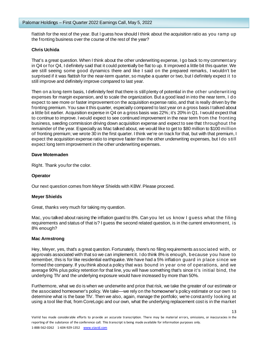flattish for the rest of the year. But I guess how should I think about the acquisition ratio as you ramp up the fronting business over the course of the rest of the year?

## **Chris Uchida**

That's a great question. When I think about the other underwriting expense, I go back to my commentary in Q4 or for Q4, I definitely said that it could potentially be flat to up. It improved a little bit this quarter. We are still seeing some good dynamics there and like I said on the prepared remarks, I wouldn't be surprised if it was flattish for the near-term quarter, so maybe a quarter or two, but I definitely expect it to still improve and definitely improve compared to last year.

Then on a long-term basis, I definitely feel that there is still plenty of potential in the other underwriting expenses for margin expansion, and to scale the organization. But a good lead in into the near term, I do expect to see more or faster improvement on the acquisition expense ratio, and that is really driven by the fronting premium. You saw it this quarter, especially compared to last year on a gross basis I talked about a little bit earlier. Acquisition expense in Q4 on a gross basis was 22%; it's 20% in Q1. I would expect that to continue to improve. I would expect to see continued improvement in the near term from the fronting business, seeding commission driving down acquisition expense and expect to see that throughout the remainder of the year. Especially as Mac talked about, we would like to get to \$80 million to \$100 million of fronting premium; we wrote 30 in the first quarter. I think we're on track for that, but with that premium, I expect the acquisition expense ratio to improve faster than the other underwriting expenses, but I do still expect long term improvement in the other underwriting expenses.

## **Dave Motemaden**

Right. Thank you for the color.

## **Operator**

Our next question comes from Meyer Shields with KBW. Please proceed.

#### **Meyer Shields**

Great, thanks very much for taking my question.

Mac, you talked about raising the inflation guard to 8%. Can you let us know I guess what the filing requirements and status of that is? I guess the second related question, is in the current environment, is 8% enough?

#### **Mac Armstrong**

Hey, Meyer, yes, that's a great question. Fortunately, there's no filing requirements associated with, or approvals associated with that so we can implement it. I do think 8% is enough, because you have to remember, this is for like residential earthquake. We have had a 5% inflation guard in place s ince we formed the company. If you think about a policy that was bound in year one of operations, and we average 90% plus policy retention for that line, you will have something that's since it's initial bind, the underlying TIV and the underlying exposure would have increased by more than 50%.

Furthermore, what we do is when we underwrite and price that risk, we take the greater of our estimate or the associated homeowner's policy. We take—we rely on the homeowner's policy estimate or our own to determine what is the base TIV. Then we also, again, manage the portfolio; we're constantly looking at using a tool like that, from CoreLogic and our own, what the underlying replacement cost is in the market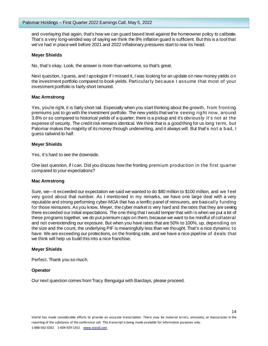and overlaying that again, that's how we can guard based level against the homeowner policy to calibrate. That's a very long-winded way of saying we think the 8% inflation guard is sufficient. But this is a tool that we've had in place well before 2021 and 2022 inflationary pressures start to rear its head.

## **Meyer Shields**

No, that's okay. Look, the answer is more than welcome, so that's great.

Next question, I guess, and I apologize if I missed it, I was looking for an update on new money yields on the investment portfolio compared to book yields. Particularly because I assume that most of your investment portfolio is fairly short tenured.

## **Mac Armstrong**

Yes, you're right, it is fairly short tail. Especially when you start thinking about the growth, from fronting premiums just to go with the investment portfolio. The new yields that we're seeing right now, around 3.8% or so compared to historical yields of a quarter; there is a pickup and it's obviously it's not at the expense of security. The credit risk remains identical. We think that is a good thing for us long term, but Palomar makes the majority of its money through underwriting, and it always will. But that's not a bad, I guess tailwind to half.

## **Meyer Shields**

Yes, it's hard to see the downside.

One last question, if I can. Did you discuss how the fronting premium production in the first quarter compared to your expectations?

#### **Mac Armstrong**

Sure, we—it exceeded our expectation we said we wanted to do \$80 million to \$100 million, and we f eel very good about that number. As I mentioned in my remarks, we have one large deal with a very reputable and strong performing cyber-MGA that has a terrific panel of reinsurers, are basically funding for those reinsurers. As you know, Meyer, the cyber market is very hard and the rates that they are seeing there exceeded our initial expectations. The one thing that I would temper that with is when we put a lot of these programs together, we do put premium caps on them, because we want to be mindful of collateral and not overextending our exposure. But when you have rates that are 50% to 100%, up, depending on the size and the count, the underlying PIF is meaningfully less than we thought. That's a nice dynamic to have. We are exceeding our protections, on the fronting side, and we have a nice pipeline of deals that we think will help us build this into a nice franchise.

#### **Meyer Shields**

Perfect. Thank you so much.

#### **Operator**

Our next question comes from Tracy Benguigui with Barclays, please proceed.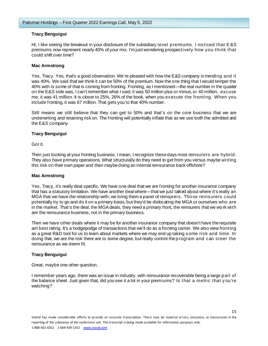# **Tracy Benguigui**

Hi, I like seeing the breakout in your disclosure of the subsidiary level premiums. I noticed that E &S premiums now represent nearly 40% of your mix. I'm just wondering prospectively how you think that could shift over time?

#### **Mac Armstrong**

Yes, Tracy. Yes, that's a good observation. We're pleased with how the E&S company is trending and it was 40%. We said that we think it can be 50% of the premium. Now the one thing that I would temper the 40% with is some of that is coming from fronting. Fronting, as I mentioned—the real number in the quarter on the E&S side was, I can't remember what I said, it was 50 million plus or minus, or 40 million, excuse me, it was 41 million. It is closer to 25%, 26% of the book, when you execute the fronting. When you include fronting, it was 67 million. That gets you to that 40% number.

Still means we still believe that they can get to 50% and that's on the core business that we are underwriting and retaining risk on. The fronting will potentially inflate that as we use both the admitted and the E&S company.

# **Tracy Benguigui**

Got it.

Then just looking at your fronting business. I mean, I recognize these days most reinsurers are hybrid. They also have primary operations. What structurally do they need to get from you versus maybe writing this risk on their own paper and then maybe doing an internal reinsurance back offshore?

#### **Mac Armstrong**

Yes, Tracy, it's really deal specific. We have one deal that we are fronting for another insurance company that has a statutory limitation. We have another deal where—that we just talked about where it's really an MGA that we have the relationship with; we bring them a panel of reinsurers. Those reinsurers could potentially try to go and do it on a primary basis, but they'd be dislocating the MGA or ourselves who are in the market. That's the deal, the MGA deals, they need a primary front, the reinsurers that we wo rk with are the reinsurance business, not in the primary business.

Then we have other deals where it may be for another insurance company that doesn't have the requisite am best rating. It's a hodgepodge of transactions that we'll do as a fronting carrier. We also view fronting as a great R&D tool for us to learn about markets where we may end up taking some risk and time. In doing that, we are the risk there are to some degree, but really control the program and can steer the reinsurance as we deem fit.

# **Tracy Benguigui**

Great, maybe one other question.

I remember years ago, there was an issue in industry, with reinsurance recoverable being a large part of the balance sheet. Just given that, did you see it a lot in your premiums? Is that a metric that y ou're watching?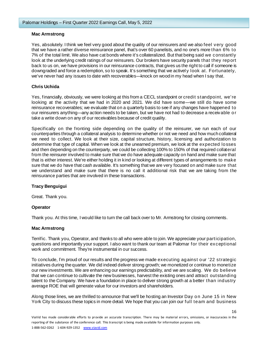# **Mac Armstrong**

Yes, absolutely. I think we feel very good about the quality of our reinsurers and we also feel very good that we have a rather diverse reinsurance panel, that's over 60 panelists, and no one's more than 6% to 7% of the total limit. We also have cat bonds where it's collateralized. But that being said we constantly look at the underlying credit ratings of our reinsurers. Our brokers have security panels that they report back to us on, we have provisions in our reinsurance contracts, that gives us the right to call if someone is downgraded and force a redemption, so to speak. It's something that we activel y look at. Fortunately, we've never had any issues to date with recoverables—knock on wood in my head when I say that.

# **Chris Uchida**

Yes, financially, obviously, we were looking at this from a CECL standpoint or credit standpoint, we're looking at the activity that we had in 2020 and 2021. We did have some—we still do have some reinsurance recoverables; we evaluate that on a quarterly basis to see if any changes have happened to our reinsurers anything—any action needs to be taken, but we have not had to decrease a receivable or take a write down on any of our receivables because of credit quality.

Specifically on the fronting side depending on the quality of the reinsurer, we run each of our counterparties through a collateral analysis to determine whether or not we need and how much collateral we need to collect. We look at their size, capital structure, history, licensing and authorization to determine that type of capital. When we look at the unearned premium, we look at the expected losses and then depending on the counterparty, we could be collecting 100% to 150% of that required collateral from the reinsurer involved to make sure that we do have adequate capacity on hand and make sure that that is either interest. We're either holding it in kind or looking at different types of arrangements to make sure that we do have that cash available. It's something that we are very focused on and make sure that we understand and make sure that there is no call it additional risk that we are taking from the reinsurance parties that are involved in these transactions.

# **Tracy Benguigui**

Great. Thank you.

# **Operator**

Thank you. At this time, I would like to turn the call back over to Mr. Armstrong for closing comments.

# **Mac Armstrong**

Terrific. Thank you, Operator, and thanks to all who were able to join. We appreciate your participation, questions and importantly your support. I also want to thank our team at Palomar for their exceptional work and commitment. They're instrumental in our success.

To conclude, I'm proud of our results and the progress we made executing against our '22 strategic initiatives during the quarter. We did indeed deliver strong growth; we monetized or continue to monetize our new investments. We are enhancing our earnings predictability, and we are scaling. We do believe that we can continue to cultivate the new businesses, harvest the existing ones and attract outstanding talent to the Company. We have a foundation in place to deliver strong growth at a better than industry average ROE that will generate value for our investors and shareholders.

Along those lines, we are thrilled to announce that we'll be hosting an Investor Day on June 15 in New York City to discuss these topics in more detail. We hope that you can join our full team and business